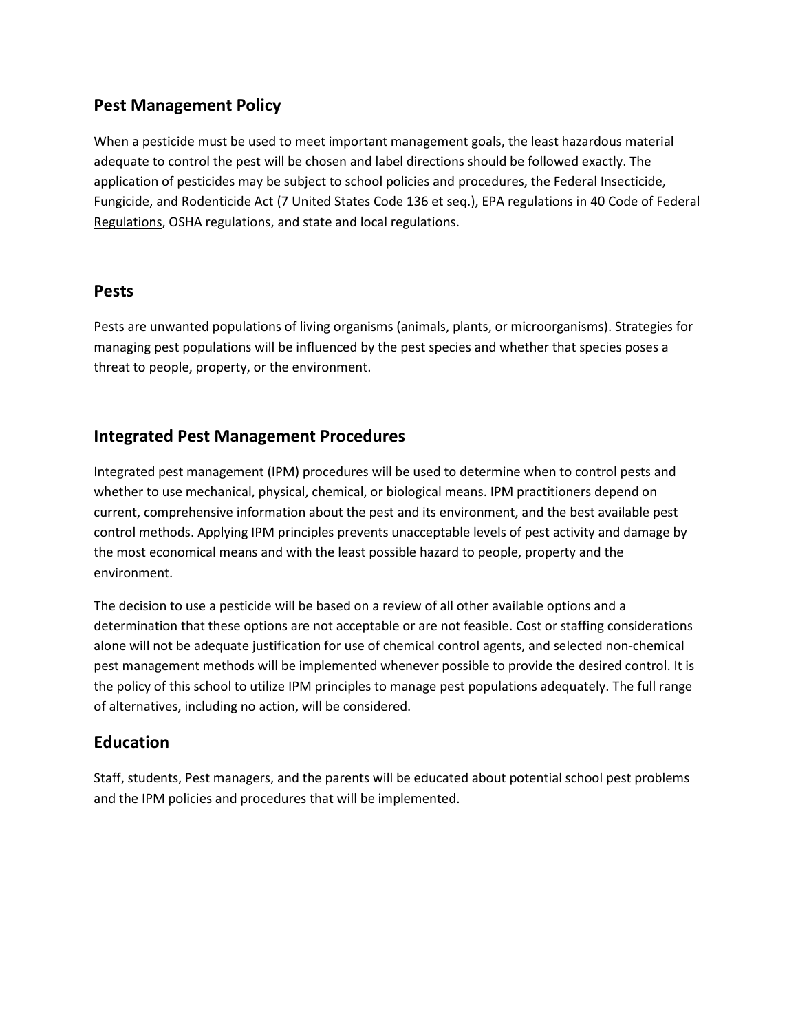## **Pest Management Policy**

When a pesticide must be used to meet important management goals, the least hazardous material adequate to control the pest will be chosen and label directions should be followed exactly. The application of pesticides may be subject to school policies and procedures, the Federal Insecticide, Fungicide, and Rodenticide Act (7 United States Code 136 et seq.), EPA regulations in 40 Code of Federal Regulations, OSHA regulations, and state and local regulations.

#### **Pests**

Pests are unwanted populations of living organisms (animals, plants, or microorganisms). Strategies for managing pest populations will be influenced by the pest species and whether that species poses a threat to people, property, or the environment.

#### **Integrated Pest Management Procedures**

Integrated pest management (IPM) procedures will be used to determine when to control pests and whether to use mechanical, physical, chemical, or biological means. IPM practitioners depend on current, comprehensive information about the pest and its environment, and the best available pest control methods. Applying IPM principles prevents unacceptable levels of pest activity and damage by the most economical means and with the least possible hazard to people, property and the environment.

The decision to use a pesticide will be based on a review of all other available options and a determination that these options are not acceptable or are not feasible. Cost or staffing considerations alone will not be adequate justification for use of chemical control agents, and selected non-chemical pest management methods will be implemented whenever possible to provide the desired control. It is the policy of this school to utilize IPM principles to manage pest populations adequately. The full range of alternatives, including no action, will be considered.

## **Education**

Staff, students, Pest managers, and the parents will be educated about potential school pest problems and the IPM policies and procedures that will be implemented.